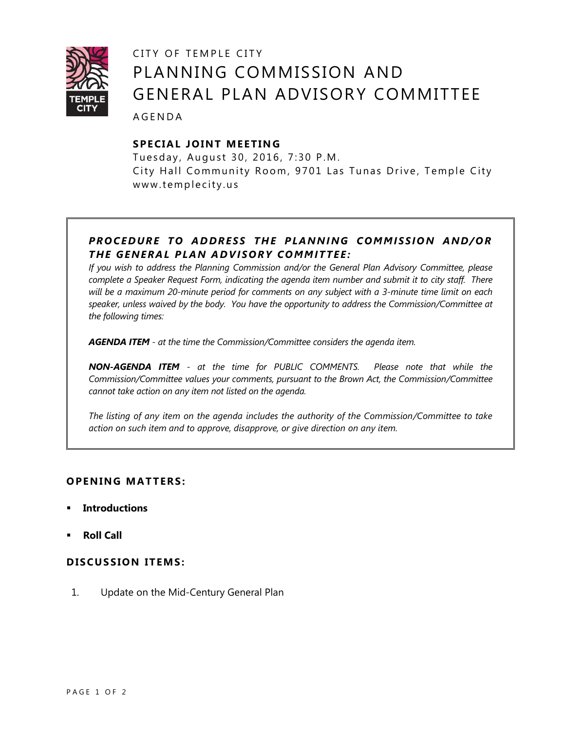

# CITY OF TEMPLE CITY PLANNING COMMISSION AND GENERAL PLAN ADVISORY COMMITTEE

A G E N D A

## **SPE CIA L JOINT M EE TIN G**

Tuesday, August 30, 2016, 7:30 P.M. City Hall Community Room, 9701 Las Tunas Drive, Temple City www.templecity.us

## *PRO CE DURE TO ADDRE SS THE PLANNI NG COMM I SSIO N AND/OR T HE GE NERA L PLAN A DVI SORY COMM ITTE E :*

*If you wish to address the Planning Commission and/or the General Plan Advisory Committee, please complete a Speaker Request Form, indicating the agenda item number and submit it to city staff. There will be a maximum 20-minute period for comments on any subject with a 3-minute time limit on each speaker, unless waived by the body. You have the opportunity to address the Commission/Committee at the following times:*

*AGENDA ITEM - at the time the Commission/Committee considers the agenda item.*

*NON-AGENDA ITEM - at the time for PUBLIC COMMENTS. Please note that while the Commission/Committee values your comments, pursuant to the Brown Act, the Commission/Committee cannot take action on any item not listed on the agenda.*

*The listing of any item on the agenda includes the authority of the Commission/Committee to take action on such item and to approve, disapprove, or give direction on any item.*

### **OPENING MATTERS:**

- **Introductions**
- **Roll Call**

#### **D ISCUSSION ITEMS :**

1. Update on the [Mid-Century](http://ca-templecity.civicplus.com/DocumentCenter/View/6433) General Plan